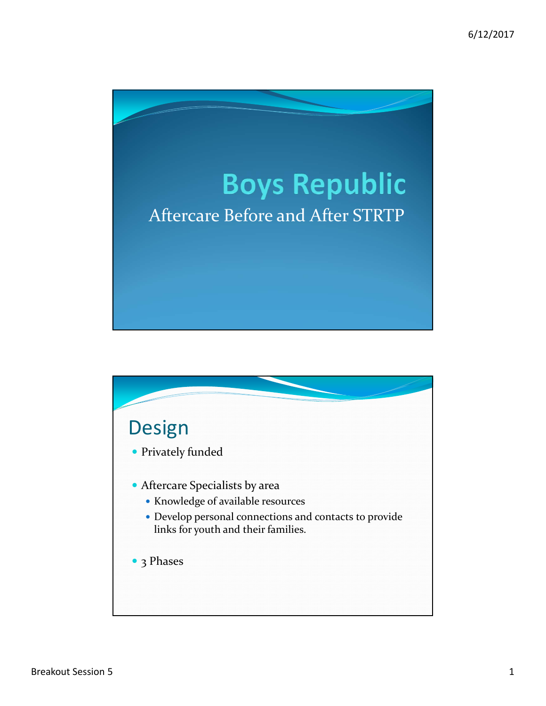

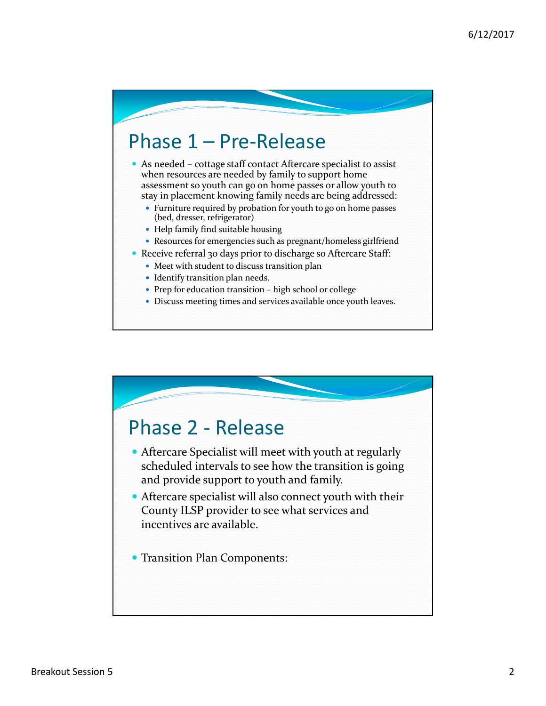## Phase 1 – Pre‐Release

 As needed – cottage staff contact Aftercare specialist to assist when resources are needed by family to support home assessment so youth can go on home passes or allow youth to stay in placement knowing family needs are being addressed:

- Furniture required by probation for youth to go on home passes (bed, dresser, refrigerator)
- Help family find suitable housing
- Resources for emergencies such as pregnant/homeless girlfriend
- Receive referral 30 days prior to discharge so Aftercare Staff:
	- Meet with student to discuss transition plan
	- Identify transition plan needs.
	- Prep for education transition high school or college
	- Discuss meeting times and services available once youth leaves.

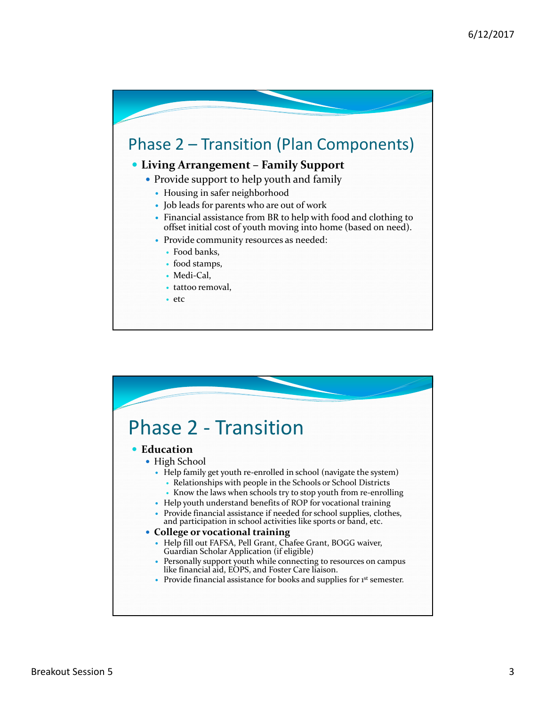

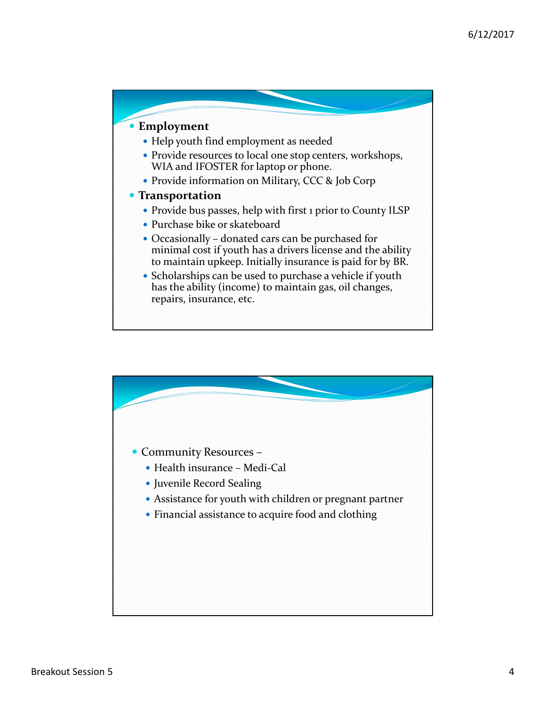

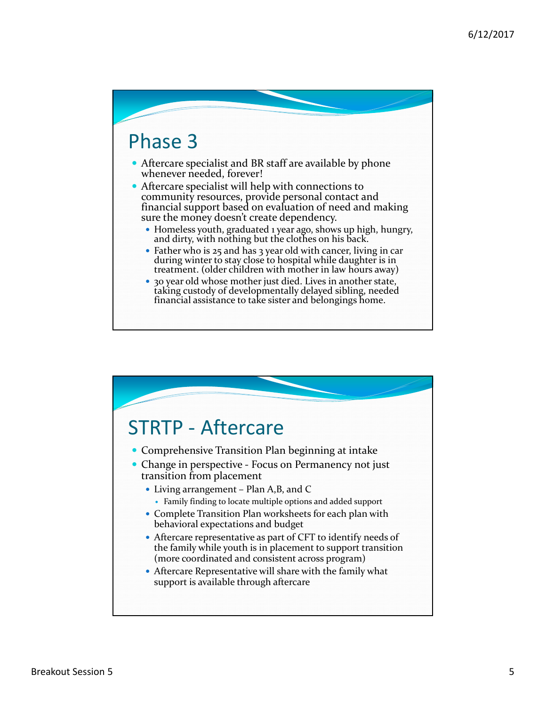## Phase 3

- Aftercare specialist and BR staff are available by phone whenever needed, forever!
- Aftercare specialist will help with connections to community resources, provide personal contact and financial support based on evaluation of need and making sure the money doesn't create dependency.
	- Homeless youth, graduated <sup>1</sup> year ago, shows up high, hungry, and dirty, with nothing but the clothes on his back.
	- Father who is 25 and has 3 year old with cancer, living in car during winter to stay close to hospital while daughter is in treatment. (older children with mother in law hours away)
	- 30 year old whose mother just died. Lives in another state, taking custody of developmentally delayed sibling, needed financial assistance to take sister and belongings home.